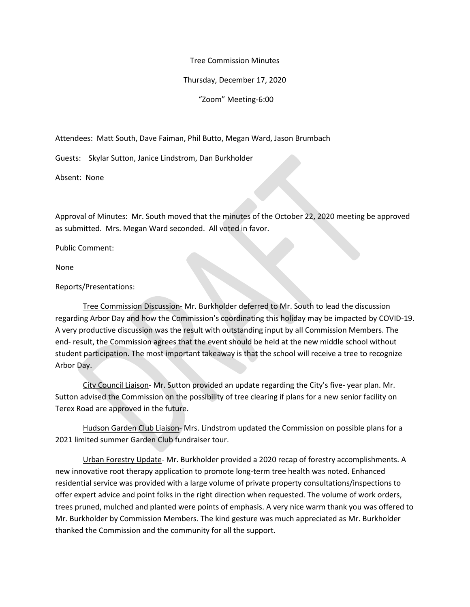Tree Commission Minutes

Thursday, December 17, 2020

"Zoom" Meeting-6:00

Attendees: Matt South, Dave Faiman, Phil Butto, Megan Ward, Jason Brumbach

Guests: Skylar Sutton, Janice Lindstrom, Dan Burkholder

Absent: None

Approval of Minutes: Mr. South moved that the minutes of the October 22, 2020 meeting be approved as submitted. Mrs. Megan Ward seconded. All voted in favor.

Public Comment:

None

Reports/Presentations:

Tree Commission Discussion- Mr. Burkholder deferred to Mr. South to lead the discussion regarding Arbor Day and how the Commission's coordinating this holiday may be impacted by COVID-19. A very productive discussion was the result with outstanding input by all Commission Members. The end- result, the Commission agrees that the event should be held at the new middle school without student participation. The most important takeaway is that the school will receive a tree to recognize Arbor Day.

City Council Liaison- Mr. Sutton provided an update regarding the City's five- year plan. Mr. Sutton advised the Commission on the possibility of tree clearing if plans for a new senior facility on Terex Road are approved in the future.

Hudson Garden Club Liaison- Mrs. Lindstrom updated the Commission on possible plans for a 2021 limited summer Garden Club fundraiser tour.

Urban Forestry Update- Mr. Burkholder provided a 2020 recap of forestry accomplishments. A new innovative root therapy application to promote long-term tree health was noted. Enhanced residential service was provided with a large volume of private property consultations/inspections to offer expert advice and point folks in the right direction when requested. The volume of work orders, trees pruned, mulched and planted were points of emphasis. A very nice warm thank you was offered to Mr. Burkholder by Commission Members. The kind gesture was much appreciated as Mr. Burkholder thanked the Commission and the community for all the support.